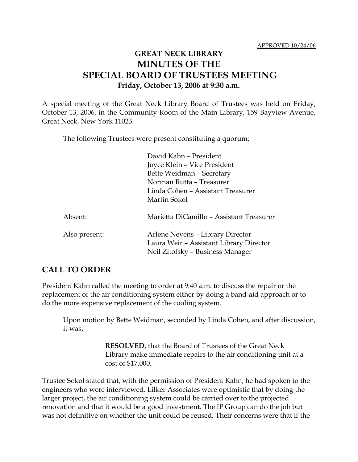## **GREAT NECK LIBRARY MINUTES OF THE SPECIAL BOARD OF TRUSTEES MEETING Friday, October 13, 2006 at 9:30 a.m.**

A special meeting of the Great Neck Library Board of Trustees was held on Friday, October 13, 2006, in the Community Room of the Main Library, 159 Bayview Avenue, Great Neck, New York 11023.

The following Trustees were present constituting a quorum:

|               | David Kahn - President<br>Joyce Klein – Vice President<br>Bette Weidman - Secretary<br>Norman Rutta – Treasurer<br>Linda Cohen - Assistant Treasurer<br>Martin Sokol |
|---------------|----------------------------------------------------------------------------------------------------------------------------------------------------------------------|
| Absent:       | Marietta DiCamillo - Assistant Treasurer                                                                                                                             |
| Also present: | Arlene Nevens - Library Director<br>Laura Weir - Assistant Library Director<br>Neil Zitofsky - Business Manager                                                      |

## **CALL TO ORDER**

President Kahn called the meeting to order at 9:40 a.m. to discuss the repair or the replacement of the air conditioning system either by doing a band-aid approach or to do the more expensive replacement of the cooling system.

Upon motion by Bette Weidman, seconded by Linda Cohen, and after discussion, it was,

> **RESOLVED,** that the Board of Trustees of the Great Neck Library make immediate repairs to the air conditioning unit at a cost of \$17,000.

Trustee Sokol stated that, with the permission of President Kahn, he had spoken to the engineers who were interviewed. Lilker Associates were optimistic that by doing the larger project, the air conditioning system could be carried over to the projected renovation and that it would be a good investment. The IP Group can do the job but was not definitive on whether the unit could be reused. Their concerns were that if the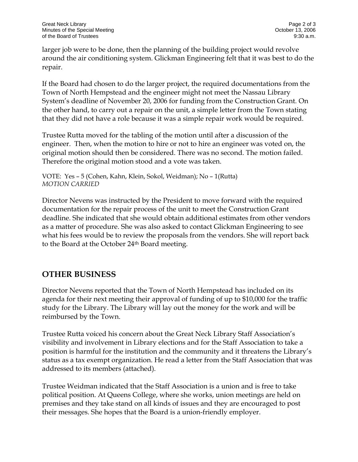larger job were to be done, then the planning of the building project would revolve around the air conditioning system. Glickman Engineering felt that it was best to do the repair.

If the Board had chosen to do the larger project, the required documentations from the Town of North Hempstead and the engineer might not meet the Nassau Library System's deadline of November 20, 2006 for funding from the Construction Grant. On the other hand, to carry out a repair on the unit, a simple letter from the Town stating that they did not have a role because it was a simple repair work would be required.

Trustee Rutta moved for the tabling of the motion until after a discussion of the engineer. Then, when the motion to hire or not to hire an engineer was voted on, the original motion should then be considered. There was no second. The motion failed. Therefore the original motion stood and a vote was taken.

VOTE:Yes – 5 (Cohen, Kahn, Klein, Sokol, Weidman); No – 1(Rutta) *MOTION CARRIED* 

Director Nevens was instructed by the President to move forward with the required documentation for the repair process of the unit to meet the Construction Grant deadline. She indicated that she would obtain additional estimates from other vendors as a matter of procedure. She was also asked to contact Glickman Engineering to see what his fees would be to review the proposals from the vendors. She will report back to the Board at the October 24th Board meeting.

## **OTHER BUSINESS**

Director Nevens reported that the Town of North Hempstead has included on its agenda for their next meeting their approval of funding of up to \$10,000 for the traffic study for the Library. The Library will lay out the money for the work and will be reimbursed by the Town.

Trustee Rutta voiced his concern about the Great Neck Library Staff Association's visibility and involvement in Library elections and for the Staff Association to take a position is harmful for the institution and the community and it threatens the Library's status as a tax exempt organization. He read a letter from the Staff Association that was addressed to its members (attached).

Trustee Weidman indicated that the Staff Association is a union and is free to take political position. At Queens College, where she works, union meetings are held on premises and they take stand on all kinds of issues and they are encouraged to post their messages. She hopes that the Board is a union-friendly employer.